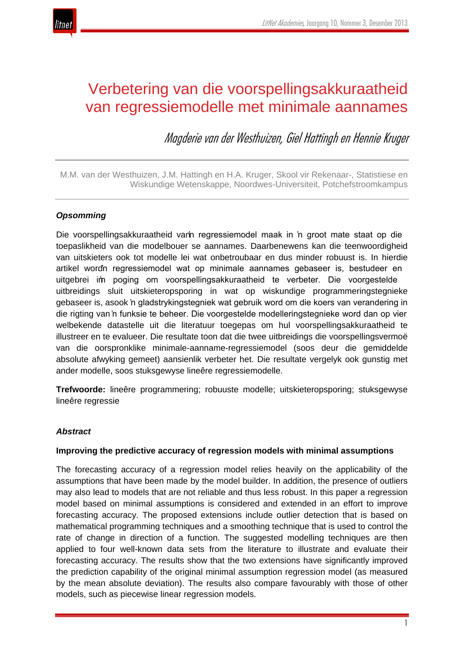

# Verbetering van die voorspellingsakkuraatheid van regressiemodelle met minimale aannames

Magderie van der Westhuizen, Giel Hattingh en Hennie Kruger

M.M. van der Westhuizen, J.M. Hattingh en H.A. Kruger, Skool vir Rekenaar-, Statistiese en Wiskundige Wetenskappe, Noordwes-Universiteit, Potchefstroomkampus

# *Opsomming*

Die voorspellingsakkuraatheid vann regressiemodel maak in 'n groot mate staat op die toepaslikheid van die modelbouer se aannames. Daarbenewens kan die teenwoordigheid van uitskieters ook tot modelle lei wat onbetroubaar en dus minder robuust is. In hierdie artikel wordn regressiemodel wat op minimale aannames gebaseer is, bestudeer en uitgebrei im poging om voorspellingsakkuraatheid te verbeter. Die voorgestelde uitbreidings sluit uitskieteropsporing in wat op wiskundige programmeringstegnieke gebaseer is, asook 'n gladstrykingstegniek wat gebruik word om die koers van verandering in die rigting van 'n funksie te beheer. Die voorgestelde modelleringstegnieke word dan op vier welbekende datastelle uit die literatuur toegepas om hul voorspellingsakkuraatheid te illustreer en te evalueer. Die resultate toon dat die twee uitbreidings die voorspellingsvermoë van die oorspronklike minimale-aanname-regressiemodel (soos deur die gemiddelde absolute afwyking gemeet) aansienlik verbeter het. Die resultate vergelyk ook gunstig met ander modelle, soos stuksgewyse lineêre regressiemodelle.

**Trefwoorde:** lineêre programmering; robuuste modelle; uitskieteropsporing; stuksgewyse lineêre regressie

### *Abstract*

### **Improving the predictive accuracy of regression models with minimal assumptions**

The forecasting accuracy of a regression model relies heavily on the applicability of the assumptions that have been made by the model builder. In addition, the presence of outliers may also lead to models that are not reliable and thus less robust. In this paper a regression model based on minimal assumptions is considered and extended in an effort to improve forecasting accuracy. The proposed extensions include outlier detection that is based on mathematical programming techniques and a smoothing technique that is used to control the rate of change in direction of a function. The suggested modelling techniques are then applied to four well-known data sets from the literature to illustrate and evaluate their forecasting accuracy. The results show that the two extensions have significantly improved the prediction capability of the original minimal assumption regression model (as measured by the mean absolute deviation). The results also compare favourably with those of other models, such as piecewise linear regression models.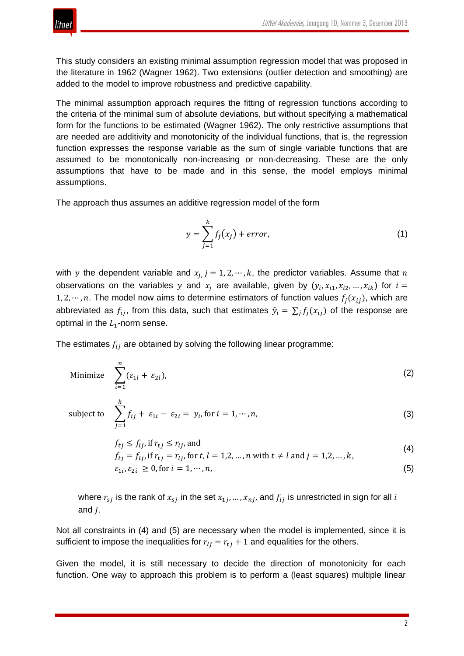

This study considers an existing minimal assumption regression model that was proposed in the literature in 1962 (Wagner 1962). Two extensions (outlier detection and smoothing) are added to the model to improve robustness and predictive capability.

The minimal assumption approach requires the fitting of regression functions according to the criteria of the minimal sum of absolute deviations, but without specifying a mathematical form for the functions to be estimated (Wagner 1962). The only restrictive assumptions that are needed are additivity and monotonicity of the individual functions, that is, the regression function expresses the response variable as the sum of single variable functions that are assumed to be monotonically non-increasing or non-decreasing. These are the only assumptions that have to be made and in this sense, the model employs minimal assumptions.

The approach thus assumes an additive regression model of the form

$$
y = \sum_{j=1}^{k} f_j(x_j) + error,\tag{1}
$$

with y the dependent variable and  $x_i$   $j = 1, 2, \dots, k$ , the predictor variables. Assume that n observations on the variables y and  $x_i$  are available, given by  $(y_i, x_{i1}, x_{i2}, ..., x_{ik})$  for  $i =$ 1, 2,  $\cdots$ , n. The model now aims to determine estimators of function values  $f_i(x_{ij})$ , which are abbreviated as  $f_{ij}$ , from this data, such that estimates  $\hat{y}_i = \sum_j f_j(x_{ij})$  of the response are optimal in the  $L_1$ -norm sense.

The estimates  $f_{ij}$  are obtained by solving the following linear programme:

Minimize 
$$
\sum_{i=1}^{n} (\varepsilon_{1i} + \varepsilon_{2i}),
$$
 (2)

subject to 
$$
\sum_{j=1}^{k} f_{ij} + \varepsilon_{1i} - \varepsilon_{2i} = y_i, \text{ for } i = 1, \dots, n,
$$
 (3)

$$
f_{tj} \le f_{lj}, \text{if } r_{tj} \le r_{lj}, \text{and}
$$
\n
$$
\tag{4}
$$

$$
f_{tj} = f_{lj}, \text{if } r_{tj} = r_{lj}, \text{and}
$$
  
\n
$$
f_{tj} = f_{lj}, \text{if } r_{tj} = r_{lj}, \text{for } t, l = 1, 2, ..., n \text{ with } t \neq l \text{ and } j = 1, 2, ..., k,
$$
  
\n
$$
\varepsilon_{1i}, \varepsilon_{2i} \ge 0, \text{for } i = 1, ..., n,
$$
\n(5)

where  $r_{s,i}$  is the rank of  $x_{s,i}$  in the set  $x_{1,i}, ..., x_{ni}$ , and  $f_{ij}$  is unrestricted in sign for all i and  $i$ .

Not all constraints in (4) and (5) are necessary when the model is implemented, since it is sufficient to impose the inequalities for  $r_{li} = r_{ti} + 1$  and equalities for the others.

Given the model, it is still necessary to decide the direction of monotonicity for each function. One way to approach this problem is to perform a (least squares) multiple linear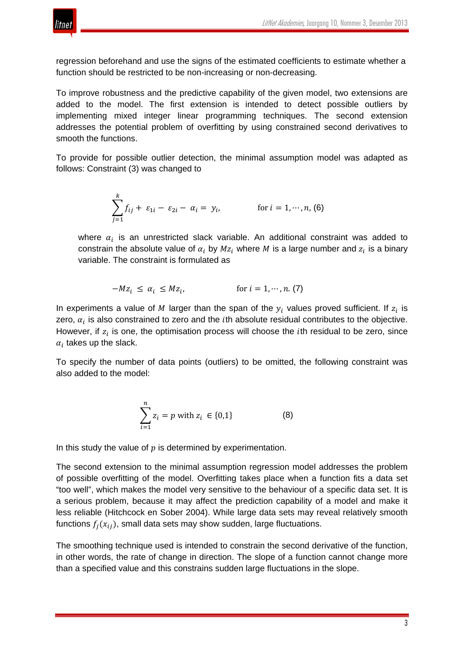

regression beforehand and use the signs of the estimated coefficients to estimate whether a function should be restricted to be non-increasing or non-decreasing.

To improve robustness and the predictive capability of the given model, two extensions are added to the model. The first extension is intended to detect possible outliers by implementing mixed integer linear programming techniques. The second extension addresses the potential problem of overfitting by using constrained second derivatives to smooth the functions.

To provide for possible outlier detection, the minimal assumption model was adapted as follows: Constraint (3) was changed to

$$
\sum_{j=1}^{k} f_{ij} + \varepsilon_{1i} - \varepsilon_{2i} - \alpha_i = y_i, \qquad \text{for } i = 1, \cdots, n, (6)
$$

where  $\alpha_i$  is an unrestricted slack variable. An additional constraint was added to constrain the absolute value of  $\alpha_i$  by  $Mz_i$  where M is a large number and  $z_i$  is a binary variable. The constraint is formulated as

$$
-Mz_i \leq \alpha_i \leq Mz_i, \qquad \qquad \text{for } i = 1, \cdots, n. (7)
$$

In experiments a value of M larger than the span of the  $y_i$  values proved sufficient. If  $z_i$  is zero,  $\alpha_i$  is also constrained to zero and the *i*th absolute residual contributes to the objective. However, if  $z_i$  is one, the optimisation process will choose the *i*th residual to be zero, since  $\alpha_i$  takes up the slack.

To specify the number of data points (outliers) to be omitted, the following constraint was also added to the model:

$$
\sum_{i=1}^{n} z_i = p \text{ with } z_i \in \{0, 1\}
$$
 (8)

In this study the value of  $p$  is determined by experimentation.

The second extension to the minimal assumption regression model addresses the problem of possible overfitting of the model. Overfitting takes place when a function fits a data set "too well", which makes the model very sensitive to the behaviour of a specific data set. It is a serious problem, because it may affect the prediction capability of a model and make it less reliable (Hitchcock en Sober 2004). While large data sets may reveal relatively smooth functions  $f_i(x_{ij})$ , small data sets may show sudden, large fluctuations.

The smoothing technique used is intended to constrain the second derivative of the function, in other words, the rate of change in direction. The slope of a function cannot change more than a specified value and this constrains sudden large fluctuations in the slope.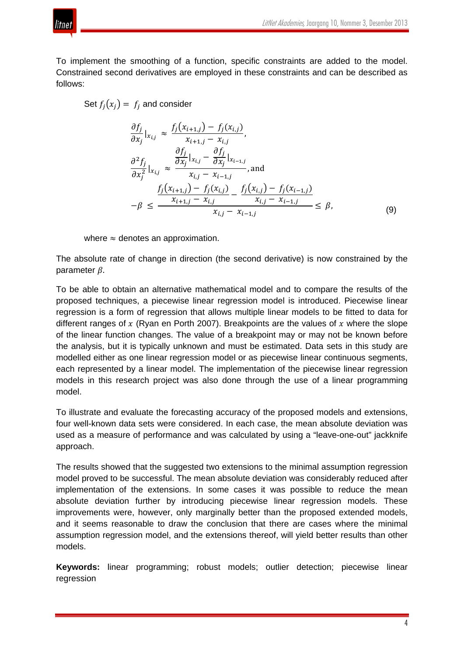

To implement the smoothing of a function, specific constraints are added to the model. Constrained second derivatives are employed in these constraints and can be described as follows:

Set  $f_i(x_i) = f_i$  and consider

$$
\frac{\partial f_j}{\partial x_j}\big|_{x_{i,j}} \approx \frac{f_j(x_{i+1,j}) - f_j(x_{i,j})}{x_{i+1,j} - x_{i,j}},
$$
\n
$$
\frac{\partial f_j}{\partial x_j^2}\big|_{x_{i,j}} \approx \frac{\frac{\partial f_j}{\partial x_j}\big|_{x_{i,j} - \frac{\partial f_j}{\partial x_j}\big|_{x_{i-1,j}}}}{x_{i,j} - x_{i-1,j}},
$$
\nand\n
$$
-\beta \le \frac{f_j(x_{i+1,j}) - f_j(x_{i,j}) - f_j(x_{i,j}) - f_j(x_{i-1,j})}{x_{i,j} - x_{i-1,j}} \le \beta,
$$
\n(9)

where  $\approx$  denotes an approximation.

The absolute rate of change in direction (the second derivative) is now constrained by the parameter  $\beta$ .

To be able to obtain an alternative mathematical model and to compare the results of the proposed techniques, a piecewise linear regression model is introduced. Piecewise linear regression is a form of regression that allows multiple linear models to be fitted to data for different ranges of  $x$  (Ryan en Porth 2007). Breakpoints are the values of  $x$  where the slope of the linear function changes. The value of a breakpoint may or may not be known before the analysis, but it is typically unknown and must be estimated. Data sets in this study are modelled either as one linear regression model or as piecewise linear continuous segments, each represented by a linear model. The implementation of the piecewise linear regression models in this research project was also done through the use of a linear programming model.

To illustrate and evaluate the forecasting accuracy of the proposed models and extensions, four well-known data sets were considered. In each case, the mean absolute deviation was used as a measure of performance and was calculated by using a "leave-one-out" jackknife approach.

The results showed that the suggested two extensions to the minimal assumption regression model proved to be successful. The mean absolute deviation was considerably reduced after implementation of the extensions. In some cases it was possible to reduce the mean absolute deviation further by introducing piecewise linear regression models. These improvements were, however, only marginally better than the proposed extended models, and it seems reasonable to draw the conclusion that there are cases where the minimal assumption regression model, and the extensions thereof, will yield better results than other models.

**Keywords:** linear programming; robust models; outlier detection; piecewise linear regression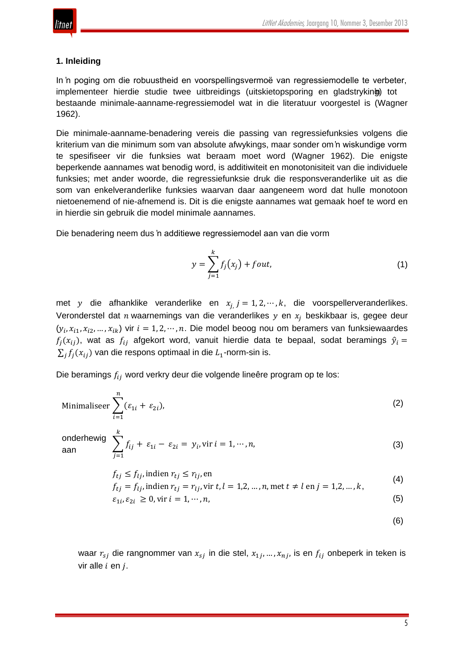

#### **1. Inleiding**

In 'n poging om die robuustheid en voorspellingsvermoë van regressiemodelle te verbeter, implementeer hierdie studie twee uitbreidings (uitskietopsporing en gladstryking) tot bestaande minimale-aanname-regressiemodel wat in die literatuur voorgestel is (Wagner 1962).

Die minimale-aanname-benadering vereis die passing van regressiefunksies volgens die kriterium van die minimum som van absolute afwykings, maar sonder om 'n wiskundige vorm te spesifiseer vir die funksies wat beraam moet word (Wagner 1962). Die enigste beperkende aannames wat benodig word, is additiwiteit en monotonisiteit van die individuele funksies; met ander woorde, die regressiefunksie druk die responsveranderlike uit as die som van enkelveranderlike funksies waarvan daar aangeneem word dat hulle monotoon nietoenemend of nie-afnemend is. Dit is die enigste aannames wat gemaak hoef te word en in hierdie sin gebruik die model minimale aannames.

Die benadering neem dus 'n additiewe regressiemodel aan van die vorm

$$
y = \sum_{j=1}^{k} f_j(x_j) + fout,
$$
\n(1)

met y die afhanklike veranderlike en  $x_{i}$   $j = 1, 2, \dots, k$ , die voorspellerveranderlikes. Veronderstel dat *n* waarnemings van die veranderlikes  $y$  en  $x_j$  beskikbaar is, gegee deur  $(y_i, x_{i1}, x_{i2}, ..., x_{ik})$  vir  $i = 1, 2, ..., n$ . Die model beoog nou om beramers van funksiewaardes  $f_i(x_{ij})$ , wat as  $f_{ij}$  afgekort word, vanuit hierdie data te bepaal, sodat beramings  $\hat{y}_i =$  $\sum_i f_i(x_{ii})$  van die respons optimaal in die  $L_1$ -norm-sin is.

Die beramings  $f_{ij}$  word verkry deur die volgende lineêre program op te los:

 $+ \varepsilon_{1i} - \varepsilon_{2i} = y_i$ , vir  $i = 1, \dots, n$ ,

Minimaliseer 
$$
\sum_{i=1}^{n} (\varepsilon_{1i} + \varepsilon_{2i}),
$$
 (2)

onderhewig aan  $\sum_{i=1}^{6} f_{ij}$  $\frac{k}{2}$  $j=1$ 

> $f_{ti} \leq f_{li}$ , indien  $r_{ti} \leq r_{li}$ , en  $(4)$

$$
f_{tj} = f_{lj}
$$
, indien  $r_{tj} = r_{lj}$ , vir  $t, l = 1, 2, ..., n$ , met  $t \neq l$  en  $j = 1, 2, ..., k$ ,

$$
\varepsilon_{1i}, \varepsilon_{2i} \ge 0, \text{vir } i = 1, \cdots, n,
$$
\n<sup>(5)</sup>

(6)

(3)

waar  $r_{si}$  die rangnommer van  $x_{si}$  in die stel,  $x_{1i}$ , …,  $x_{ni}$ , is en  $f_{ij}$  onbeperk in teken is vir alle  $i$  en  $j$ .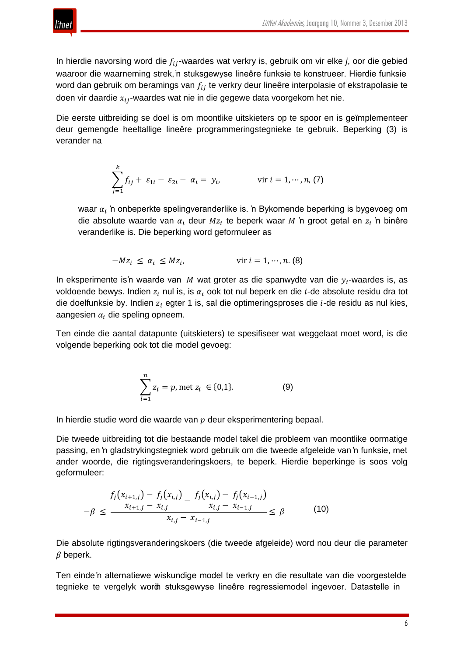

In hierdie navorsing word die  $f_{ij}$ -waardes wat verkry is, gebruik om vir elke *j*, oor die gebied waaroor die waarneming strek, 'n stuksgewyse lineêre funksie te konstrueer. Hierdie funksie word dan gebruik om beramings van  $f_{ij}$  te verkry deur lineêre interpolasie of ekstrapolasie te doen vir daardie  $x_{ij}$ -waardes wat nie in die gegewe data voorgekom het nie.

Die eerste uitbreiding se doel is om moontlike uitskieters op te spoor en is geïmplementeer deur gemengde heeltallige lineêre programmeringstegnieke te gebruik. Beperking (3) is verander na

$$
\sum_{j=1}^{k} f_{ij} + \varepsilon_{1i} - \varepsilon_{2i} - \alpha_i = y_i, \qquad \text{vir } i = 1, \cdots, n, (7)
$$

waar  $\alpha_i$  'n onbeperkte spelingveranderlike is. 'n Bykomende beperking is bygevoeg om die absolute waarde van  $\alpha_i$  deur  $Mz_i$  te beperk waar M 'n groot getal en  $z_i$  'n binêre veranderlike is. Die beperking word geformuleer as

$$
-Mz_i \leq \alpha_i \leq Mz_i, \qquad \text{vir } i = 1, \cdots, n. (8)
$$

In eksperimente is 'n waarde van M wat groter as die spanwydte van die  $y_i$ -waardes is, as voldoende bewys. Indien  $z_i$  nul is, is  $\alpha_i$  ook tot nul beperk en die *i*-de absolute residu dra tot die doelfunksie by. Indien  $z_i$  egter 1 is, sal die optimeringsproses die  $i$ -de residu as nul kies, aangesien  $\alpha_i$  die speling opneem.

Ten einde die aantal datapunte (uitskieters) te spesifiseer wat weggelaat moet word, is die volgende beperking ook tot die model gevoeg:

$$
\sum_{i=1}^{n} z_i = p, \text{met } z_i \in \{0, 1\}. \tag{9}
$$

In hierdie studie word die waarde van  $p$  deur eksperimentering bepaal.

Die tweede uitbreiding tot die bestaande model takel die probleem van moontlike oormatige passing, en 'n gladstrykingstegniek word gebruik om die tweede afgeleide van 'n funksie, met ander woorde, die rigtingsveranderingskoers, te beperk. Hierdie beperkinge is soos volg geformuleer:

$$
-\beta \le \frac{f_j(x_{i+1,j}) - f_j(x_{i,j})}{x_{i+1,j} - x_{i,j}} - \frac{f_j(x_{i,j}) - f_j(x_{i-1,j})}{x_{i,j} - x_{i-1,j}} \le \beta \tag{10}
$$

Die absolute rigtingsveranderingskoers (die tweede afgeleide) word nou deur die parameter  $\beta$  beperk.

Ten einde 'n alternatiewe wiskundige model te verkry en die resultate van die voorgestelde tegnieke te vergelyk word stuksgewyse lineêre regressiemodel ingevoer. Datastelle in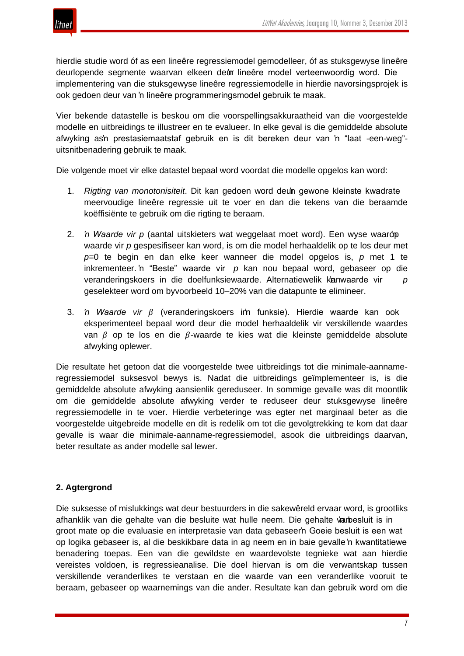

hierdie studie word óf as een lineêre regressiemodel gemodelleer, óf as stuksgewyse lineêre deurlopende segmente waarvan elkeen deur lineêre model verteenwoordig word. Die implementering van die stuksgewyse lineêre regressiemodelle in hierdie navorsingsprojek is ook gedoen deur van 'n lineêre programmeringsmodel gebruik te maak.

Vier bekende datastelle is beskou om die voorspellingsakkuraatheid van die voorgestelde modelle en uitbreidings te illustreer en te evalueer. In elke geval is die gemiddelde absolute afwyking as'n prestasiemaatstaf gebruik en is dit bereken deur van 'n "laat -een-weg"uitsnitbenadering gebruik te maak.

Die volgende moet vir elke datastel bepaal word voordat die modelle opgelos kan word:

- 1. *Rigting van monotonisiteit*. Dit kan gedoen word deun gewone kleinste kwadrate meervoudige lineêre regressie uit te voer en dan die tekens van die beraamde koëffisiënte te gebruik om die rigting te beraam.
- 2. *'n Waarde vir p* (aantal uitskieters wat weggelaat moet word). Een wyse waardp waarde vir *p* gespesifiseer kan word, is om die model herhaaldelik op te los deur met *p*=0 te begin en dan elke keer wanneer die model opgelos is, *p* met 1 te inkrementeer. 'n "Beste" waarde vir *p* kan nou bepaal word, gebaseer op die veranderingskoers in die doelfunksiewaarde. Alternatiewelik kanwaarde vir p geselekteer word om byvoorbeeld 10–20% van die datapunte te elimineer.
- 3. *'n Waarde vir ß* (veranderingskoers im funksie). Hierdie waarde kan ook eksperimenteel bepaal word deur die model herhaaldelik vir verskillende waardes van  $\beta$  op te los en die  $\beta$ -waarde te kies wat die kleinste gemiddelde absolute afwyking oplewer.

Die resultate het getoon dat die voorgestelde twee uitbreidings tot die minimale-aannameregressiemodel suksesvol bewys is. Nadat die uitbreidings geïmplementeer is, is die gemiddelde absolute afwyking aansienlik gereduseer. In sommige gevalle was dit moontlik om die gemiddelde absolute afwyking verder te reduseer deur stuksgewyse lineêre regressiemodelle in te voer. Hierdie verbeteringe was egter net marginaal beter as die voorgestelde uitgebreide modelle en dit is redelik om tot die gevolgtrekking te kom dat daar gevalle is waar die minimale-aanname-regressiemodel, asook die uitbreidings daarvan, beter resultate as ander modelle sal lewer.

# **2. Agtergrond**

Die suksesse of mislukkings wat deur bestuurders in die sakewêreld ervaar word, is grootliks afhanklik van die gehalte van die besluite wat hulle neem. Die gehalte van besluit is in groot mate op die evaluasie en interpretasie van data gebaseer'n Goeie besluit is een wat op logika gebaseer is, al die beskikbare data in ag neem en in baie gevalle 'n kwantitatiewe benadering toepas. Een van die gewildste en waardevolste tegnieke wat aan hierdie vereistes voldoen, is regressieanalise. Die doel hiervan is om die verwantskap tussen verskillende veranderlikes te verstaan en die waarde van een veranderlike vooruit te beraam, gebaseer op waarnemings van die ander. Resultate kan dan gebruik word om die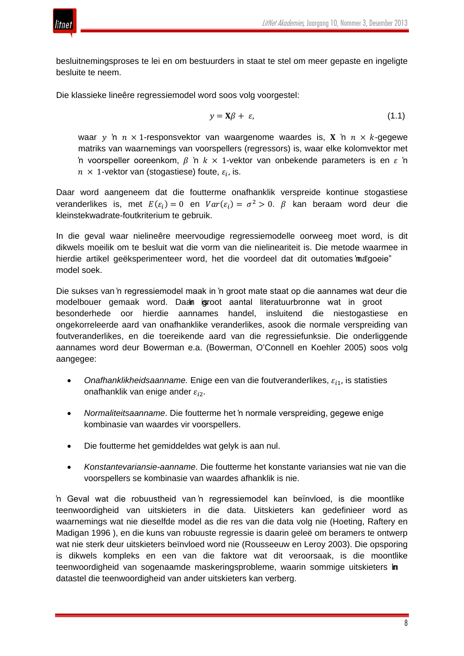

besluitnemingsproses te lei en om bestuurders in staat te stel om meer gepaste en ingeligte besluite te neem.

Die klassieke lineêre regressiemodel word soos volg voorgestel:

$$
y = \mathbf{X}\beta + \varepsilon,\tag{1.1}
$$

waar  $y$  'n  $n \times 1$ -responsvektor van waargenome waardes is, **X** 'n  $n \times k$ -gegewe matriks van waarnemings van voorspellers (regressors) is, waar elke kolomvektor met 'n voorspeller ooreenkom,  $\beta$  'n  $k \times 1$ -vektor van onbekende parameters is en  $\epsilon$  'n  $n \times 1$ -vektor van (stogastiese) foute,  $\varepsilon_i$ , is.

Daar word aangeneem dat die foutterme onafhanklik verspreide kontinue stogastiese veranderlikes is, met  $E(\varepsilon_i) = 0$  en  $Var(\varepsilon_i) = \sigma^2 > 0$ .  $\beta$  kan beraam word deur die kleinstekwadrate-foutkriterium te gebruik.

In die geval waar nielineêre meervoudige regressiemodelle oorweeg moet word, is dit dikwels moeilik om te besluit wat die vorm van die nielineariteit is. Die metode waarmee in hierdie artikel geëksperimenteer word, het die voordeel dat dit outomaties 'ma "goeie" model soek.

Die sukses van 'n regressiemodel maak in 'n groot mate staat op die aannames wat deur die modelbouer gemaak word. Daan igroot aantal literatuurbronne wat in groot besonderhede oor hierdie aannames handel, insluitend die niestogastiese en ongekorreleerde aard van onafhanklike veranderlikes, asook die normale verspreiding van foutveranderlikes, en die toereikende aard van die regressiefunksie. Die onderliggende aannames word deur Bowerman e.a. (Bowerman, O'Connell en Koehler 2005) soos volg aangegee:

- Onafhanklikheidsaanname. Enige een van die foutveranderlikes,  $\varepsilon_{i,j}$ , is statisties onafhanklik van enige ander  $\varepsilon_{i2}$ .
- *Normaliteitsaanname*. Die foutterme het 'n normale verspreiding, gegewe enige kombinasie van waardes vir voorspellers.
- Die foutterme het gemiddeldes wat gelyk is aan nul.
- *Konstantevariansie-aanname*. Die foutterme het konstante variansies wat nie van die voorspellers se kombinasie van waardes afhanklik is nie.

'n Geval wat die robuustheid van 'n regressiemodel kan beïnvloed, is die moontlike teenwoordigheid van uitskieters in die data. Uitskieters kan gedefinieer word as waarnemings wat nie dieselfde model as die res van die data volg nie (Hoeting, Raftery en Madigan 1996 ), en die kuns van robuuste regressie is daarin geleë om beramers te ontwerp wat nie sterk deur uitskieters beïnvloed word nie (Rousseeuw en Leroy 2003). Die opsporing is dikwels kompleks en een van die faktore wat dit veroorsaak, is die moontlike teenwoordigheid van sogenaamde maskeringsprobleme, waarin sommige uitskieters in datastel die teenwoordigheid van ander uitskieters kan verberg.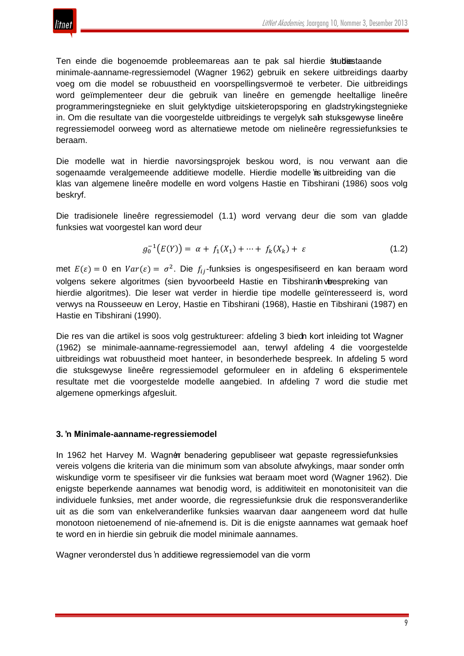

Ten einde die bogenoemde probleemareas aan te pak sal hierdie studiestaande minimale-aanname-regressiemodel (Wagner 1962) gebruik en sekere uitbreidings daarby voeg om die model se robuustheid en voorspellingsvermoë te verbeter. Die uitbreidings word geïmplementeer deur die gebruik van lineêre en gemengde heeltallige lineêre programmeringstegnieke en sluit gelyktydige uitskieteropsporing en gladstrykingstegnieke in. Om die resultate van die voorgestelde uitbreidings te vergelyk sah stuksgewyse lineêre regressiemodel oorweeg word as alternatiewe metode om nielineêre regressiefunksies te beraam.

Die modelle wat in hierdie navorsingsprojek beskou word, is nou verwant aan die sogenaamde veralgemeende additiewe modelle. Hierdie modelle in uitbreiding van die klas van algemene lineêre modelle en word volgens Hastie en Tibshirani (1986) soos volg beskryf.

Die tradisionele lineêre regressiemodel (1.1) word vervang deur die som van gladde funksies wat voorgestel kan word deur

$$
g_0^{-1}(E(Y)) = \alpha + f_1(X_1) + \dots + f_k(X_k) + \varepsilon \tag{1.2}
$$

met  $E(\varepsilon) = 0$  en  $Var(\varepsilon) = \sigma^2$ . Die  $f_{ij}$ -funksies is ongespesifiseerd en kan beraam word volgens sekere algoritmes (sien byvoorbeeld Hastie en Tibshiranin vir espreking van hierdie algoritmes). Die leser wat verder in hierdie tipe modelle geïnteresseerd is, word verwys na Rousseeuw en Leroy, Hastie en Tibshirani (1968), Hastie en Tibshirani (1987) en Hastie en Tibshirani (1990).

Die res van die artikel is soos volg gestruktureer: afdeling 3 bied nkort inleiding tot Wagner (1962) se minimale-aanname-regressiemodel aan, terwyl afdeling 4 die voorgestelde uitbreidings wat robuustheid moet hanteer, in besonderhede bespreek. In afdeling 5 word die stuksgewyse lineêre regressiemodel geformuleer en in afdeling 6 eksperimentele resultate met die voorgestelde modelle aangebied. In afdeling 7 word die studie met algemene opmerkings afgesluit.

### **3. 'n Minimale-aanname-regressiemodel**

In 1962 het Harvey M. Wagner benadering gepubliseer wat gepaste regressiefunksies vereis volgens die kriteria van die minimum som van absolute afwykings, maar sonder om'n wiskundige vorm te spesifiseer vir die funksies wat beraam moet word (Wagner 1962). Die enigste beperkende aannames wat benodig word, is additiwiteit en monotonisiteit van die individuele funksies, met ander woorde, die regressiefunksie druk die responsveranderlike uit as die som van enkelveranderlike funksies waarvan daar aangeneem word dat hulle monotoon nietoenemend of nie-afnemend is. Dit is die enigste aannames wat gemaak hoef te word en in hierdie sin gebruik die model minimale aannames.

Wagner veronderstel dus 'n additiewe regressiemodel van die vorm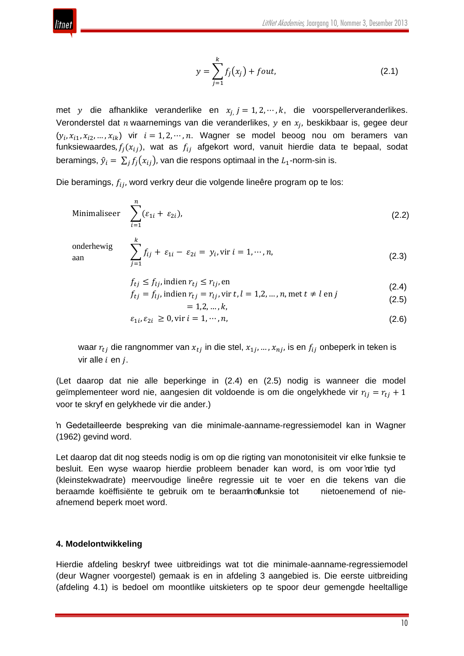

$$
y = \sum_{j=1}^{k} f_j(x_j) + fout,
$$
 (2.1)

met y die afhanklike veranderlike en  $x_{i}$  j = 1, 2,  $\cdots$  , k, die voorspellerveranderlikes. Veronderstel dat  $n$  waarnemings van die veranderlikes,  $y$  en  $x_i$ , beskikbaar is, gegee deur  $(y_i, x_{i1}, x_{i2}, ..., x_{ik})$  vir  $i = 1, 2, ..., n$ . Wagner se model beoog nou om beramers van funksiewaardes,  $f_j(x_{ij})$ , wat as  $f_{ij}$  afgekort word, vanuit hierdie data te bepaal, sodat beramings,  $\hat{y}_i = \sum_i f_i(x_{ij})$ , van die respons optimaal in the  $L_1$ -norm-sin is.

Die beramings,  $f_{ij}$ , word verkry deur die volgende lineêre program op te los:

Minimaliseer 
$$
\sum_{i=1}^{n} (\varepsilon_{1i} + \varepsilon_{2i}),
$$
 (2.2)

onderhewig

onderhewig

\n
$$
\sum_{j=1}^{k} f_{ij} + \varepsilon_{1i} - \varepsilon_{2i} = y_i, \text{vir } i = 1, \cdots, n,
$$
\n(2.3)

 $f_{tj} \leq f_{lj}$ , indien  $r_{tj} \leq r_{lj}$ , en  $(2.4)$ 

$$
f_{tj} = f_{lj}, \text{indien } r_{tj} = r_{lj}, \text{vir } t, l = 1, 2, ..., n, \text{met } t \neq l \text{ en } j
$$
  
= 1, 2, ..., k, (2.5)

$$
\varepsilon_{1i}, \varepsilon_{2i} \ge 0, \text{vir } i = 1, \cdots, n,\tag{2.6}
$$

waar  $r_{tj}$  die rangnommer van  $x_{tj}$  in die stel,  $x_{1j}$ , …,  $x_{nj}$ , is en  $f_{ij}$  onbeperk in teken is vir alle  $i$  en  $j$ .

(Let daarop dat nie alle beperkinge in (2.4) en (2.5) nodig is wanneer die model geïmplementeer word nie, aangesien dit voldoende is om die ongelykhede vir  $r_{li} = r_{ti} + 1$ voor te skryf en gelykhede vir die ander.)

'n Gedetailleerde bespreking van die minimale-aanname-regressiemodel kan in Wagner (1962) gevind word.

Let daarop dat dit nog steeds nodig is om op die rigting van monotonisiteit vir elke funksie te besluit. Een wyse waarop hierdie probleem benader kan word, is om voor 'rdie tyd (kleinstekwadrate) meervoudige lineêre regressie uit te voer en die tekens van die beraamde koëffisiënte te gebruik om te beraam nofunksie tot nietoenemend of nieafnemend beperk moet word.

#### **4. Modelontwikkeling**

Hierdie afdeling beskryf twee uitbreidings wat tot die minimale-aanname-regressiemodel (deur Wagner voorgestel) gemaak is en in afdeling 3 aangebied is. Die eerste uitbreiding (afdeling 4.1) is bedoel om moontlike uitskieters op te spoor deur gemengde heeltallige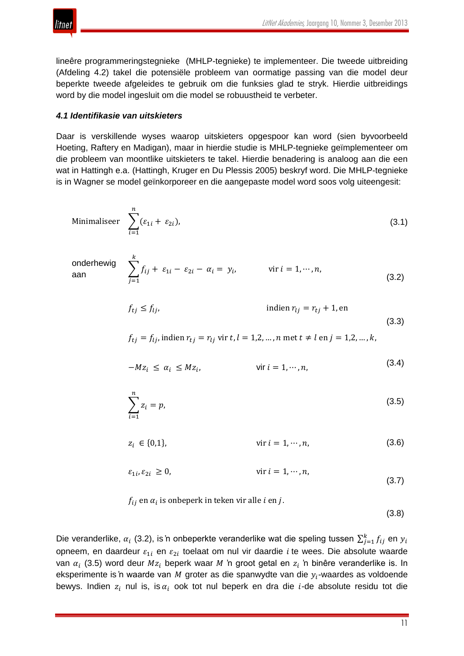

lineêre programmeringstegnieke (MHLP-tegnieke) te implementeer. Die tweede uitbreiding (Afdeling 4.2) takel die potensiële probleem van oormatige passing van die model deur beperkte tweede afgeleides te gebruik om die funksies glad te stryk. Hierdie uitbreidings word by die model ingesluit om die model se robuustheid te verbeter.

#### *4.1 Identifikasie van uitskieters*

Daar is verskillende wyses waarop uitskieters opgespoor kan word (sien byvoorbeeld Hoeting, Raftery en Madigan), maar in hierdie studie is MHLP-tegnieke geïmplementeer om die probleem van moontlike uitskieters te takel. Hierdie benadering is analoog aan die een wat in Hattingh e.a. (Hattingh, Kruger en Du Plessis 2005) beskryf word. Die MHLP-tegnieke is in Wagner se model geïnkorporeer en die aangepaste model word soos volg uiteengesit:

Minimaliseer 
$$
\sum_{i=1}^{n} (\varepsilon_{1i} + \varepsilon_{2i}),
$$
 (3.1)

onderhewig

\n
$$
\sum_{j=1}^{k} f_{ij} + \varepsilon_{1i} - \varepsilon_{2i} - \alpha_i = y_i, \qquad \text{vir } i = 1, \cdots, n,
$$
\n(3.2)

$$
f_{tj} \le f_{lj}, \qquad \text{indien } r_{lj} = r_{tj} + 1, \text{en}
$$
\n(3.3)

$$
f_{tj} = f_{lj}
$$
, indien  $r_{tj} = r_{lj}$  vir  $t, l = 1, 2, ..., n$  met  $t \neq l$  en  $j = 1, 2, ..., k$ ,

$$
-Mz_i \leq \alpha_i \leq Mz_i, \qquad \text{vir } i = 1, \cdots, n,
$$
\n(3.4)

$$
\sum_{i=1}^{n} z_i = p,\tag{3.5}
$$

$$
z_i \in \{0, 1\}, \qquad \text{vir } i = 1, \cdots, n,\tag{3.6}
$$

$$
\varepsilon_{1i}, \varepsilon_{2i} \ge 0, \qquad \text{vir } i = 1, \cdots, n,
$$
\n(3.7)

 $f_{ij}$  en  $\alpha_i$  is onbeperk in teken vir alle *i* en *j*.

(3.8)

Die veranderlike,  $\alpha_i$  (3.2), is 'n onbeperkte veranderlike wat die speling tussen  $\sum_{j=1}^k f_{ij}$  en  $y_i$ opneem, en daardeur  $\varepsilon_{1i}$  en  $\varepsilon_{2i}$  toelaat om nul vir daardie *i* te wees. Die absolute waarde van  $\alpha_i$  (3.5) word deur  $Mz_i$  beperk waar M 'n groot getal en  $z_i$  'n binêre veranderlike is. In eksperimente is 'n waarde van M groter as die spanwydte van die  $y_i$ -waardes as voldoende bewys. Indien  $z_i$  nul is, is  $\alpha_i$  ook tot nul beperk en dra die *i*-de absolute residu tot die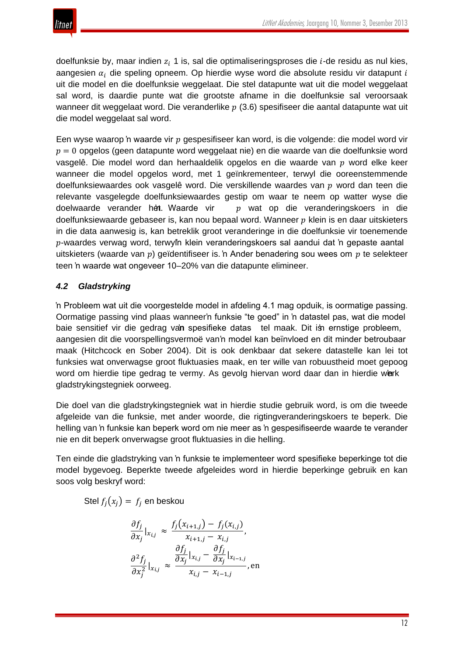doelfunksie by, maar indien  $z_i$  1 is, sal die optimaliseringsproses die *i*-de residu as nul kies, aangesien  $\alpha_i$  die speling opneem. Op hierdie wyse word die absolute residu vir datapunt i uit die model en die doelfunksie weggelaat. Die stel datapunte wat uit die model weggelaat sal word, is daardie punte wat die grootste afname in die doelfunksie sal veroorsaak wanneer dit weggelaat word. Die veranderlike  $p(3.6)$  spesifiseer die aantal datapunte wat uit die model weggelaat sal word.

Een wyse waarop 'n waarde vir  $p$  gespesifiseer kan word, is die volgende: die model word vir  $p = 0$  opgelos (geen datapunte word weggelaat nie) en die waarde van die doelfunksie word vasgelê. Die model word dan herhaaldelik opgelos en die waarde van  $p$  word elke keer wanneer die model opgelos word, met 1 geïnkrementeer, terwyl die ooreenstemmende doelfunksiewaardes ook vasgelê word. Die verskillende waardes van  $v$  word dan teen die relevante vasgelegde doelfunksiewaardes gestip om waar te neem op watter wyse die doelwaarde verander het. Waarde vir  $p$  wat op die veranderingskoers in die doelfunksiewaarde gebaseer is, kan nou bepaal word. Wanneer  $p$  klein is en daar uitskieters in die data aanwesig is, kan betreklik groot veranderinge in die doelfunksie vir toenemende  $p$ -waardes verwag word, terwyl'n klein veranderingskoers sal aandui dat 'n gepaste aantal uitskieters (waarde van  $p$ ) geïdentifiseer is. 'n Ander benadering sou wees om  $p$  te selekteer teen 'n waarde wat ongeveer 10–20% van die datapunte elimineer.

# *4.2 Gladstryking*

'n Probleem wat uit die voorgestelde model in afdeling 4.1 mag opduik, is oormatige passing. Oormatige passing vind plaas wanneer'n funksie "te goed" in 'n datastel pas, wat die model baie sensitief vir die gedrag van spesifieke datas tel maak. Dit is ernstige probleem, aangesien dit die voorspellingsvermoë van 'n model kan beïnvloed en dit minder betroubaar maak (Hitchcock en Sober 2004). Dit is ook denkbaar dat sekere datastelle kan lei tot funksies wat onverwagse groot fluktuasies maak, en ter wille van robuustheid moet gepoog word om hierdie tipe gedrag te vermy. As gevolg hiervan word daar dan in hierdie werk gladstrykingstegniek oorweeg.

Die doel van die gladstrykingstegniek wat in hierdie studie gebruik word, is om die tweede afgeleide van die funksie, met ander woorde, die rigtingveranderingskoers te beperk. Die helling van 'n funksie kan beperk word om nie meer as 'n gespesifiseerde waarde te verander nie en dit beperk onverwagse groot fluktuasies in die helling.

Ten einde die gladstryking van 'n funksie te implementeer word spesifieke beperkinge tot die model bygevoeg. Beperkte tweede afgeleides word in hierdie beperkinge gebruik en kan soos volg beskryf word:

Stel  $f_i(x_i) = f_i$  en beskou

$$
\frac{\partial f_j}{\partial x_j}\big|_{x_{i,j}} \approx \frac{f_j(x_{i+1,j}) - f_j(x_{i,j})}{x_{i+1,j} - x_{i,j}},
$$

$$
\frac{\partial^2 f_j}{\partial x_j^2}\big|_{x_{i,j}} \approx \frac{\frac{\partial f_j}{\partial x_j}\big|_{x_{i,j} - \frac{\partial f_j}{\partial x_j}\big|_{x_{i-1,j}}}}{x_{i,j} - x_{i-1,j}},
$$
en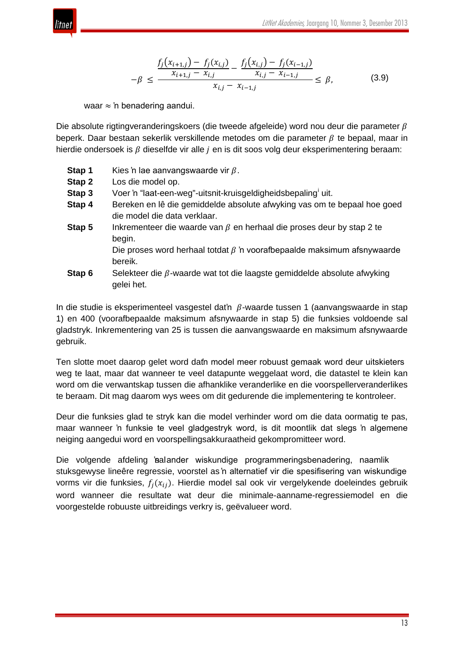

$$
-\beta \le \frac{f_j(x_{i+1,j}) - f_j(x_{i,j})}{x_{i+1,j} - x_{i,j}} - \frac{f_j(x_{i,j}) - f_j(x_{i-1,j})}{x_{i,j} - x_{i-1,j}} \le \beta,
$$
\n(3.9)

waar ≈ 'n benadering aandui.

Die absolute rigtingveranderingskoers (die tweede afgeleide) word nou deur die parameter  $\beta$ beperk. Daar bestaan sekerlik verskillende metodes om die parameter  $\beta$  te bepaal, maar in hierdie ondersoek is  $\beta$  dieselfde vir alle  $i$  en is dit soos volg deur eksperimentering beraam:

- **Stap 1** Kies 'n lae aanvangswaarde vir  $\beta$ .
- **Stap 2** Los die model op.
- **Stap 3** Voer 'n "laat-een-weg"-u[i](#page-23-0)tsnit-kruisgeldigheidsbepaling<sup>i</sup> uit.
- **Stap 4** Bereken en lê die gemiddelde absolute afwyking vas om te bepaal hoe goed die model die data verklaar.
- **Stap 5** Inkrementeer die waarde van  $\beta$  en herhaal die proses deur by stap 2 te begin.

Die proses word herhaal totdat  $\beta$  'n voorafbepaalde maksimum afsnywaarde bereik.

**Stap 6** Selekteer die  $\beta$ -waarde wat tot die laagste gemiddelde absolute afwyking gelei het.

In die studie is eksperimenteel vasgestel dat'n  $\beta$ -waarde tussen 1 (aanvangswaarde in stap 1) en 400 (voorafbepaalde maksimum afsnywaarde in stap 5) die funksies voldoende sal gladstryk. Inkrementering van 25 is tussen die aanvangswaarde en maksimum afsnywaarde gebruik.

Ten slotte moet daarop gelet word dath model meer robuust gemaak word deur uitskieters weg te laat, maar dat wanneer te veel datapunte weggelaat word, die datastel te klein kan word om die verwantskap tussen die afhanklike veranderlike en die voorspellerveranderlikes te beraam. Dit mag daarom wys wees om dit gedurende die implementering te kontroleer.

Deur die funksies glad te stryk kan die model verhinder word om die data oormatig te pas, maar wanneer 'n funksie te veel gladgestryk word, is dit moontlik dat slegs 'n algemene neiging aangedui word en voorspellingsakkuraatheid gekompromitteer word.

Die volgende afdeling 'sal ander wiskundige programmeringsbenadering, naamlik stuksgewyse lineêre regressie, voorstel as 'n alternatief vir die spesifisering van wiskundige vorms vir die funksies,  $f_i(x_{ij})$ . Hierdie model sal ook vir vergelykende doeleindes gebruik word wanneer die resultate wat deur die minimale-aanname-regressiemodel en die voorgestelde robuuste uitbreidings verkry is, geëvalueer word.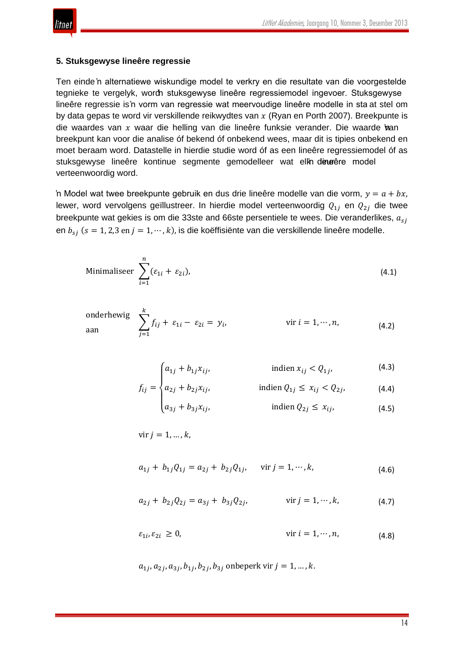

#### **5. Stuksgewyse lineêre regressie**

Ten einde 'n alternatiewe wiskundige model te verkry en die resultate van die voorgestelde tegnieke te vergelyk, worch stuksgewyse lineêre regressiemodel ingevoer. Stuksgewyse lineêre regressie is 'n vorm van regressie wat meervoudige lineêre modelle in sta at stel om by data gepas te word vir verskillende reikwydtes van  $x$  (Ryan en Porth 2007). Breekpunte is die waardes van  $x$  waar die helling van die lineêre funksie verander. Die waarde 'nan breekpunt kan voor die analise óf bekend óf onbekend wees, maar dit is tipies onbekend en moet beraam word. Datastelle in hierdie studie word óf as een lineêre regressiemodel óf as stuksgewyse lineêre kontinue segmente gemodelleer wat elkn deurêre model verteenwoordig word.

'n Model wat twee breekpunte gebruik en dus drie lineêre modelle van die vorm,  $y = a + bx$ . lewer, word vervolgens geïllustreer. In hierdie model verteenwoordig  $Q_{1i}$  en  $Q_{2i}$  die twee breekpunte wat gekies is om die 33ste and 66ste persentiele te wees. Die veranderlikes,  $a_{si}$ en  $b_{si}$  ( $s = 1, 2, 3$  en  $j = 1, \dots, k$ ), is die koëffisiënte van die verskillende lineêre modelle.

Minimaliseer 
$$
\sum_{i=1}^{n} (\varepsilon_{1i} + \varepsilon_{2i}),
$$
 (4.1)

underhewig

\n
$$
\sum_{j=1}^{k} f_{ij} + \varepsilon_{1i} - \varepsilon_{2i} = y_i, \qquad \text{vir } i = 1, \cdots, n,
$$
\n(4.2)

$$
\left(a_{1j} + b_{1j}x_{ij}, \qquad \qquad \text{indien } x_{ij} < Q_{1j}, \qquad \qquad (4.3)
$$

$$
f_{ij} = \begin{cases} a_{2j} + b_{2j}x_{ij}, & \text{indien } Q_{1j} \le x_{ij} < Q_{2j}, \\ a_{2i} + b_{2i}x_{ij}, & \text{indien } Q_{2i} < x_{ij}, \end{cases} \tag{4.4}
$$

⎩ 3 + 3,� indien 2 ≤ ,� (4.5)

$$
vir j = 1, ..., k,
$$

$$
a_{1j} + b_{1j}Q_{1j} = a_{2j} + b_{2j}Q_{1j}, \quad \text{vir } j = 1, \cdots, k,
$$
\n(4.6)

$$
a_{2j} + b_{2j} Q_{2j} = a_{3j} + b_{3j} Q_{2j}, \qquad \text{vir } j = 1, \cdots, k,
$$
 (4.7)

$$
\varepsilon_{1i}, \varepsilon_{2i} \ge 0, \qquad \text{vir } i = 1, \cdots, n,\tag{4.8}
$$

 $a_{1i}, a_{2i}, a_{3i}, b_{1i}, b_{2i}, b_{3i}$  onbeperk vir  $j = 1, ..., k$ .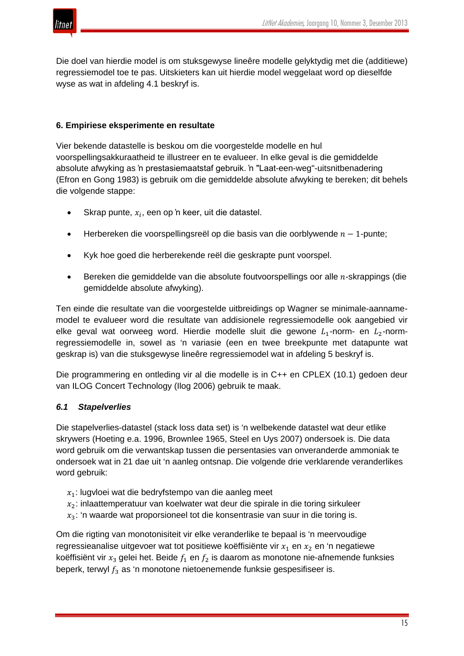

Die doel van hierdie model is om stuksgewyse lineêre modelle gelyktydig met die (additiewe) regressiemodel toe te pas. Uitskieters kan uit hierdie model weggelaat word op dieselfde wyse as wat in afdeling 4.1 beskryf is.

# **6. Empiriese eksperimente en resultate**

Vier bekende datastelle is beskou om die voorgestelde modelle en hul voorspellingsakkuraatheid te illustreer en te evalueer. In elke geval is die gemiddelde absolute afwyking as 'n prestasiemaatstaf gebruik. 'n "Laat-een-weg"-uitsnitbenadering (Efron en Gong 1983) is gebruik om die gemiddelde absolute afwyking te bereken; dit behels die volgende stappe:

- Skrap punte,  $x_i$ , een op 'n keer, uit die datastel.
- Herbereken die voorspellingsreël op die basis van die oorblywende  $n 1$ -punte;
- Kyk hoe goed die herberekende reël die geskrapte punt voorspel.
- Bereken die gemiddelde van die absolute foutvoorspellings oor alle  $n$ -skrappings (die gemiddelde absolute afwyking).

Ten einde die resultate van die voorgestelde uitbreidings op Wagner se minimale-aannamemodel te evalueer word die resultate van addisionele regressiemodelle ook aangebied vir elke geval wat oorweeg word. Hierdie modelle sluit die gewone  $L_1$ -norm- en  $L_2$ -normregressiemodelle in, sowel as 'n variasie (een en twee breekpunte met datapunte wat geskrap is) van die stuksgewyse lineêre regressiemodel wat in afdeling 5 beskryf is.

Die programmering en ontleding vir al die modelle is in C++ en CPLEX (10.1) gedoen deur van ILOG Concert Technology (Ilog 2006) gebruik te maak.

### *6.1 Stapelverlies*

Die stapelverlies-datastel (stack loss data set) is 'n welbekende datastel wat deur etlike skrywers (Hoeting e.a. 1996, Brownlee 1965, Steel en Uys 2007) ondersoek is. Die data word gebruik om die verwantskap tussen die persentasies van onveranderde ammoniak te ondersoek wat in 21 dae uit 'n aanleg ontsnap. Die volgende drie verklarende veranderlikes word gebruik:

- $x_1$ : lugvloei wat die bedryfstempo van die aanleg meet
- $x_2$ : inlaattemperatuur van koelwater wat deur die spirale in die toring sirkuleer
- $x_3$ : 'n waarde wat proporsioneel tot die konsentrasie van suur in die toring is.

Om die rigting van monotonisiteit vir elke veranderlike te bepaal is 'n meervoudige regressieanalise uitgevoer wat tot positiewe koëffisiënte vir  $x_1$  en  $x_2$  en 'n negatiewe koëffisiënt vir  $x_3$  gelei het. Beide  $f_1$  en  $f_2$  is daarom as monotone nie-afnemende funksies beperk, terwyl  $f_3$  as 'n monotone nietoenemende funksie gespesifiseer is.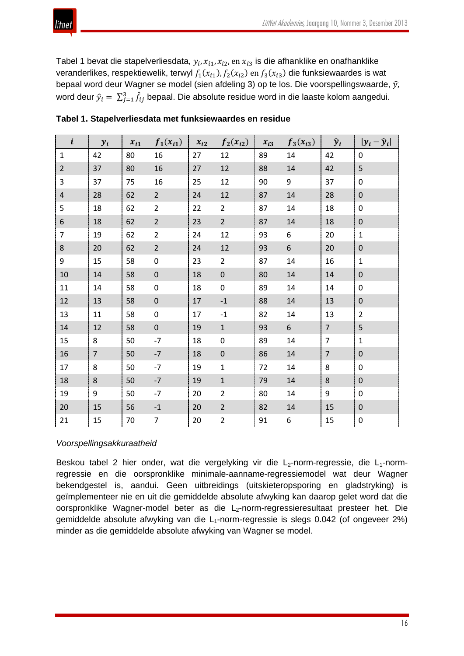Tabel 1 bevat die stapelverliesdata,  $y_i$ ,  $x_{i1}$ ,  $x_{i2}$ , en  $x_{i3}$  is die afhanklike en onafhanklike veranderlikes, respektiewelik, terwyl  $f_1(x_{i1})$ ,  $f_2(x_{i2})$  en  $f_3(x_{i3})$  die funksiewaardes is wat bepaal word deur Wagner se model (sien afdeling 3) op te los. Die voorspellingswaarde,  $\hat{y}$ , word deur  $\hat{y}_i = \sum_{j=1}^3 \hat{f}_{ij}$  bepaal. Die absolute residue word in die laaste kolom aangedui.

| $\boldsymbol{i}$ | $y_i$          | $x_{i1}$ | $f_1(x_{i1})$    | $x_{i2}$ | $f_2(x_{i2})$           | $x_{i3}$ | $f_3(x_{i3})$ | $\hat{y}_i$    | $ y_i - \hat{y}_i $ |
|------------------|----------------|----------|------------------|----------|-------------------------|----------|---------------|----------------|---------------------|
| $\mathbf{1}$     | 42             | 80       | 16               | 27       | 12                      | 89       | 14            | 42             | $\mathbf 0$         |
| $\overline{2}$   | 37             | 80       | 16               | 27       | 12                      | 88       | 14            | 42             | 5                   |
| 3                | 37             | 75       | 16               | 25       | 12                      | 90       | 9             | 37             | $\mathbf 0$         |
| $\sqrt{4}$       | 28             | 62       | $\overline{2}$   | 24       | 12                      | 87       | 14            | 28             | $\mathbf 0$         |
| 5                | 18             | 62       | $\overline{2}$   | 22       | $\overline{2}$          | 87       | 14            | 18             | $\mathbf 0$         |
| $\boldsymbol{6}$ | 18             | 62       | $\overline{2}$   | 23       | $\overline{2}$          | 87       | $14\,$        | 18             | $\boldsymbol{0}$    |
| $\overline{7}$   | 19             | 62       | $\overline{2}$   | 24       | 12                      | 93       | 6             | 20             | $\mathbf 1$         |
| $\bf 8$          | 20             | 62       | $\overline{2}$   | 24       | 12                      | 93       | 6             | 20             | $\pmb{0}$           |
| 9                | 15             | 58       | 0                | 23       | $\overline{2}$          | 87       | 14            | 16             | $\mathbf 1$         |
| 10               | 14             | 58       | $\mathbf 0$      | 18       | $\boldsymbol{0}$        | 80       | 14            | 14             | $\mathbf 0$         |
| $11\,$           | 14             | 58       | $\boldsymbol{0}$ | 18       | $\pmb{0}$               | 89       | 14            | 14             | $\pmb{0}$           |
| 12               | 13             | 58       | $\boldsymbol{0}$ | 17       | $^{\mbox{{\small -1}}}$ | 88       | 14            | 13             | $\mathbf 0$         |
| 13               | 11             | 58       | $\boldsymbol{0}$ | 17       | $^{\rm -1}$             | 82       | 14            | 13             | $\overline{2}$      |
| $14\,$           | 12             | 58       | $\boldsymbol{0}$ | 19       | $\mathbf 1$             | 93       | 6             | $\overline{7}$ | 5                   |
| 15               | 8              | 50       | $-7$             | 18       | $\mathbf 0$             | 89       | 14            | $\overline{7}$ | $\mathbf 1$         |
| 16               | $\overline{7}$ | 50       | $-7$             | 18       | $\boldsymbol{0}$        | 86       | 14            | $\overline{7}$ | $\mathbf 0$         |
| $17\,$           | 8              | 50       | $-7$             | 19       | $\mathbf 1$             | 72       | 14            | 8              | $\mathbf 0$         |
| $18\,$           | 8              | 50       | $-7$             | 19       | $\mathbf 1$             | 79       | 14            | 8              | $\mathbf 0$         |
| 19               | 9              | 50       | $-7$             | 20       | $\overline{2}$          | 80       | 14            | 9              | $\pmb{0}$           |
| $20\,$           | 15             | 56       | $-1$             | 20       | $\overline{2}$          | 82       | $14\,$        | 15             | $\boldsymbol{0}$    |
| 21               | 15             | 70       | $\overline{7}$   | 20       | $\overline{2}$          | 91       | 6             | 15             | $\pmb{0}$           |

| Tabel 1. Stapelverliesdata met funksiewaardes en residue |  |  |
|----------------------------------------------------------|--|--|
|----------------------------------------------------------|--|--|

### *Voorspellingsakkuraatheid*

Beskou tabel 2 hier onder, wat die vergelyking vir die  $L_2$ -norm-regressie, die  $L_1$ -normregressie en die oorspronklike minimale-aanname-regressiemodel wat deur Wagner bekendgestel is, aandui. Geen uitbreidings (uitskieteropsporing en gladstryking) is geïmplementeer nie en uit die gemiddelde absolute afwyking kan daarop gelet word dat die oorspronklike Wagner-model beter as die L<sub>2</sub>-norm-regressieresultaat presteer het. Die gemiddelde absolute afwyking van die  $L_1$ -norm-regressie is slegs 0.042 (of ongeveer 2%) minder as die gemiddelde absolute afwyking van Wagner se model.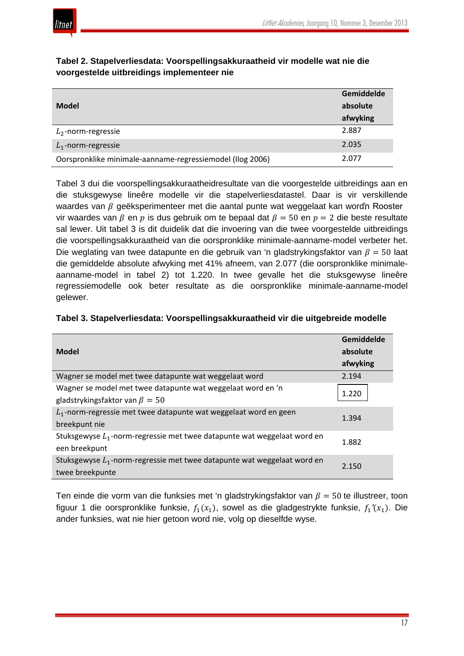

|                                                           | Gemiddelde |
|-----------------------------------------------------------|------------|
| <b>Model</b>                                              | absolute   |
|                                                           | afwyking   |
| $L_2$ -norm-regressie                                     | 2.887      |
| $L_1$ -norm-regressie                                     | 2.035      |
| Oorspronklike minimale-aanname-regressiemodel (Ilog 2006) | 2.077      |

## **Tabel 2. Stapelverliesdata: Voorspellingsakkuraatheid vir modelle wat nie die voorgestelde uitbreidings implementeer nie**

Tabel 3 dui die voorspellingsakkuraatheidresultate van die voorgestelde uitbreidings aan en die stuksgewyse lineêre modelle vir die stapelverliesdatastel. Daar is vir verskillende waardes van  $\beta$  geëksperimenteer met die aantal punte wat weggelaat kan word'n Rooster vir waardes van  $\beta$  en  $p$  is dus gebruik om te bepaal dat  $\beta = 50$  en  $p = 2$  die beste resultate sal lewer. Uit tabel 3 is dit duidelik dat die invoering van die twee voorgestelde uitbreidings die voorspellingsakkuraatheid van die oorspronklike minimale-aanname-model verbeter het. Die weglating van twee datapunte en die gebruik van 'n gladstrykingsfaktor van  $\beta = 50$  laat die gemiddelde absolute afwyking met 41% afneem, van 2.077 (die oorspronklike minimaleaanname-model in tabel 2) tot 1.220. In twee gevalle het die stuksgewyse lineêre regressiemodelle ook beter resultate as die oorspronklike minimale-aanname-model gelewer.

| <b>Model</b>                                                                                        | Gemiddelde<br>absolute<br>afwyking |
|-----------------------------------------------------------------------------------------------------|------------------------------------|
| Wagner se model met twee datapunte wat weggelaat word                                               | 2.194                              |
| Wagner se model met twee datapunte wat weggelaat word en 'n<br>gladstrykingsfaktor van $\beta = 50$ | 1.220                              |
| $L_1$ -norm-regressie met twee datapunte wat weggelaat word en geen<br>breekpunt nie                | 1.394                              |
| Stuksgewyse $L_1$ -norm-regressie met twee datapunte wat weggelaat word en<br>een breekpunt         | 1.882                              |
| Stuksgewyse $L_1$ -norm-regressie met twee datapunte wat weggelaat word en<br>twee breekpunte       | 2.150                              |

Ten einde die vorm van die funksies met 'n gladstrykingsfaktor van  $\beta = 50$  te illustreer, toon figuur 1 die oorspronklike funksie,  $f_1(x_1)$ , sowel as die gladgestrykte funksie,  $f_1'(x_1)$ . Die ander funksies, wat nie hier getoon word nie, volg op dieselfde wyse.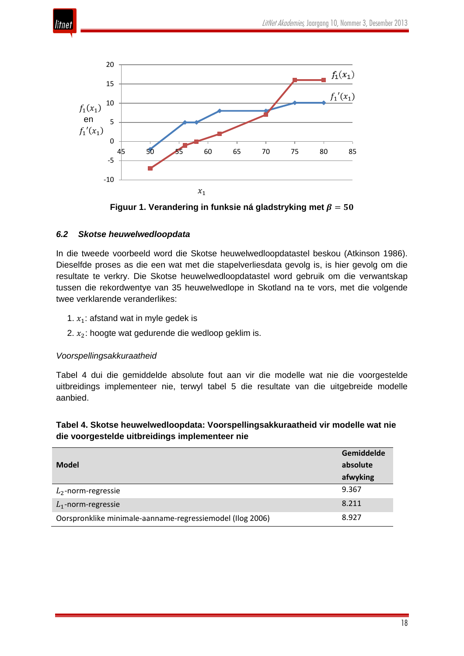



Figuur 1. Verandering in funksie ná gladstryking met  $\beta = 50$ 

# *6.2 Skotse heuwelwedloopdata*

In die tweede voorbeeld word die Skotse heuwelwedloopdatastel beskou (Atkinson 1986). Dieselfde proses as die een wat met die stapelverliesdata gevolg is, is hier gevolg om die resultate te verkry. Die Skotse heuwelwedloopdatastel word gebruik om die verwantskap tussen die rekordwentye van 35 heuwelwedlope in Skotland na te vors, met die volgende twee verklarende veranderlikes:

- 1.  $x_1$ : afstand wat in myle gedek is
- 2.  $x_2$ : hoogte wat gedurende die wedloop geklim is.

# *Voorspellingsakkuraatheid*

Tabel 4 dui die gemiddelde absolute fout aan vir die modelle wat nie die voorgestelde uitbreidings implementeer nie, terwyl tabel 5 die resultate van die uitgebreide modelle aanbied.

### **Tabel 4. Skotse heuwelwedloopdata: Voorspellingsakkuraatheid vir modelle wat nie die voorgestelde uitbreidings implementeer nie**

|                                                           | Gemiddelde |
|-----------------------------------------------------------|------------|
| <b>Model</b>                                              | absolute   |
|                                                           | afwyking   |
| $L_2$ -norm-regressie                                     | 9.367      |
| $L_1$ -norm-regressie                                     | 8.211      |
| Oorspronklike minimale-aanname-regressiemodel (Ilog 2006) | 8.927      |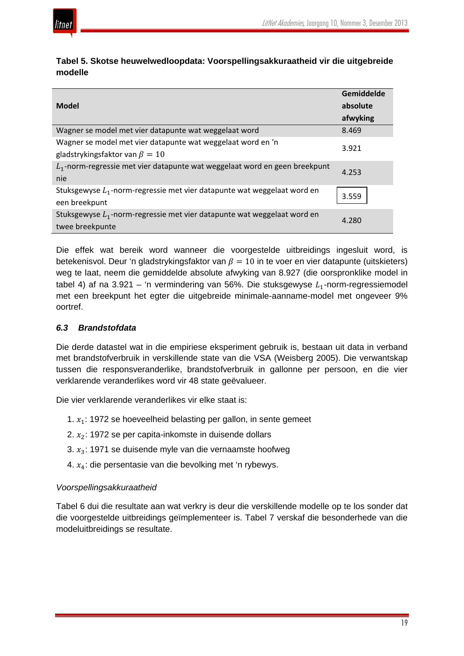

nie

een breekpunt

twee breekpunte

3.921

4.253

3.559

4.280

| modelle                                               |            |
|-------------------------------------------------------|------------|
|                                                       | Gemiddelde |
| <b>Model</b>                                          | absolute   |
|                                                       | afwyking   |
| Wagner se model met vier datapunte wat weggelaat word | 8.469      |

**Tabel 5. Skotse heuwelwedloopdata: Voorspellingsakkuraatheid vir die uitgebreide** 

Die effek wat bereik word wanneer die voorgestelde uitbreidings ingesluit word, is betekenisvol. Deur 'n gladstrykingsfaktor van  $\beta = 10$  in te voer en vier datapunte (uitskieters) weg te laat, neem die gemiddelde absolute afwyking van 8.927 (die oorspronklike model in tabel 4) af na 3.921 – 'n vermindering van 56%. Die stuksgewyse  $L_1$ -norm-regressiemodel met een breekpunt het egter die uitgebreide minimale-aanname-model met ongeveer 9% oortref.

# *6.3 Brandstofdata*

gladstrykingsfaktor van  $\beta = 10$ 

Die derde datastel wat in die empiriese eksperiment gebruik is, bestaan uit data in verband met brandstofverbruik in verskillende state van die VSA (Weisberg 2005). Die verwantskap tussen die responsveranderlike, brandstofverbruik in gallonne per persoon, en die vier verklarende veranderlikes word vir 48 state geëvalueer.

Die vier verklarende veranderlikes vir elke staat is:

- 1.  $x_1$ : 1972 se hoeveelheid belasting per gallon, in sente gemeet
- 2.  $x_2$ : 1972 se per capita-inkomste in duisende dollars

Wagner se model met vier datapunte wat weggelaat word en 'n

 $L_1$ -norm-regressie met vier datapunte wat weggelaat word en geen breekpunt

Stuksgewyse  $L_1$ -norm-regressie met vier datapunte wat weggelaat word en

Stuksgewyse  $L_1$ -norm-regressie met vier datapunte wat weggelaat word en

- 3.  $x_3$ : 1971 se duisende myle van die vernaamste hoofweg
- 4.  $x_4$ : die persentasie van die bevolking met 'n rybewys.

# *Voorspellingsakkuraatheid*

Tabel 6 dui die resultate aan wat verkry is deur die verskillende modelle op te los sonder dat die voorgestelde uitbreidings geïmplementeer is. Tabel 7 verskaf die besonderhede van die modeluitbreidings se resultate.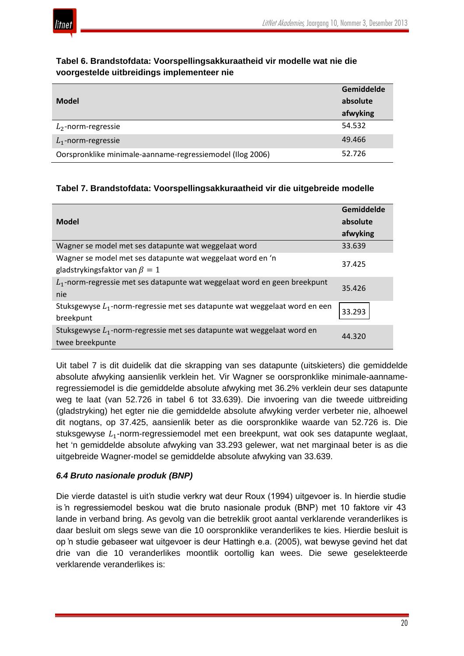

|                                                           | Gemiddelde |
|-----------------------------------------------------------|------------|
| <b>Model</b>                                              | absolute   |
|                                                           | afwyking   |
| $L_2$ -norm-regressie                                     | 54.532     |
| $L_1$ -norm-regressie                                     | 49.466     |
| Oorspronklike minimale-aanname-regressiemodel (Ilog 2006) | 52.726     |

## **Tabel 6. Brandstofdata: Voorspellingsakkuraatheid vir modelle wat nie die voorgestelde uitbreidings implementeer nie**

# **Tabel 7. Brandstofdata: Voorspellingsakkuraatheid vir die uitgebreide modelle**

| <b>Model</b>                                                                                      | Gemiddelde<br>absolute<br>afwyking |
|---------------------------------------------------------------------------------------------------|------------------------------------|
| Wagner se model met ses datapunte wat weggelaat word                                              | 33.639                             |
| Wagner se model met ses datapunte wat weggelaat word en 'n<br>gladstrykingsfaktor van $\beta = 1$ | 37.425                             |
| $L_1$ -norm-regressie met ses datapunte wat weggelaat word en geen breekpunt<br>nie               | 35.426                             |
| Stuksgewyse $L_1$ -norm-regressie met ses datapunte wat weggelaat word en een<br>breekpunt        | 33.293                             |
| Stuksgewyse $L_1$ -norm-regressie met ses datapunte wat weggelaat word en<br>twee breekpunte      | 44.320                             |

Uit tabel 7 is dit duidelik dat die skrapping van ses datapunte (uitskieters) die gemiddelde absolute afwyking aansienlik verklein het. Vir Wagner se oorspronklike minimale-aannameregressiemodel is die gemiddelde absolute afwyking met 36.2% verklein deur ses datapunte weg te laat (van 52.726 in tabel 6 tot 33.639). Die invoering van die tweede uitbreiding (gladstryking) het egter nie die gemiddelde absolute afwyking verder verbeter nie, alhoewel dit nogtans, op 37.425, aansienlik beter as die oorspronklike waarde van 52.726 is. Die stuksgewyse  $L_1$ -norm-regressiemodel met een breekpunt, wat ook ses datapunte weglaat, het 'n gemiddelde absolute afwyking van 33.293 gelewer, wat net marginaal beter is as die uitgebreide Wagner-model se gemiddelde absolute afwyking van 33.639.

# *6.4 Bruto nasionale produk (BNP)*

Die vierde datastel is uit'n studie verkry wat deur Roux (1994) uitgevoer is. In hierdie studie is 'n regressiemodel beskou wat die bruto nasionale produk (BNP) met 10 faktore vir 43 lande in verband bring. As gevolg van die betreklik groot aantal verklarende veranderlikes is daar besluit om slegs sewe van die 10 oorspronklike veranderlikes te kies. Hierdie besluit is op 'n studie gebaseer wat uitgevoer is deur Hattingh e.a. (2005), wat bewyse gevind het dat drie van die 10 veranderlikes moontlik oortollig kan wees. Die sewe geselekteerde verklarende veranderlikes is: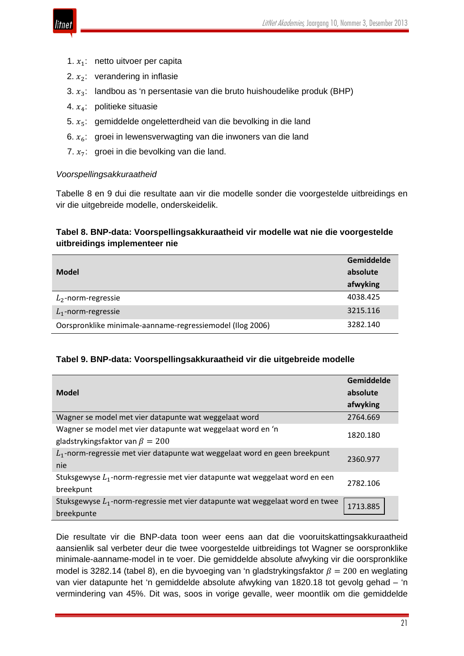

- 1.  $x_1$ : netto uitvoer per capita
- 2.  $x_2$ : verandering in inflasie
- 3.  $x_3$ : landbou as 'n persentasie van die bruto huishoudelike produk (BHP)
- 4.  $x_4$ : politieke situasie
- 5.  $x_5$ : gemiddelde ongeletterdheid van die bevolking in die land
- 6.  $x_6$ : groei in lewensverwagting van die inwoners van die land
- 7.  $x_7$ : groei in die bevolking van die land.

## *Voorspellingsakkuraatheid*

Tabelle 8 en 9 dui die resultate aan vir die modelle sonder die voorgestelde uitbreidings en vir die uitgebreide modelle, onderskeidelik.

# **Tabel 8. BNP-data: Voorspellingsakkuraatheid vir modelle wat nie die voorgestelde uitbreidings implementeer nie**

|                                                           | Gemiddelde |
|-----------------------------------------------------------|------------|
| <b>Model</b>                                              | absolute   |
|                                                           | afwyking   |
| $L_2$ -norm-regressie                                     | 4038.425   |
| $L_1$ -norm-regressie                                     | 3215.116   |
| Oorspronklike minimale-aanname-regressiemodel (Ilog 2006) | 3282.140   |

### **Tabel 9. BNP-data: Voorspellingsakkuraatheid vir die uitgebreide modelle**

|                                                                                 | Gemiddelde |  |
|---------------------------------------------------------------------------------|------------|--|
| <b>Model</b>                                                                    | absolute   |  |
|                                                                                 | afwyking   |  |
| Wagner se model met vier datapunte wat weggelaat word                           | 2764.669   |  |
| Wagner se model met vier datapunte wat weggelaat word en 'n                     | 1820.180   |  |
| gladstrykingsfaktor van $\beta = 200$                                           |            |  |
| $L_1$ -norm-regressie met vier datapunte wat weggelaat word en geen breekpunt   | 2360.977   |  |
| nie                                                                             |            |  |
| Stuksgewyse $L_1$ -norm-regressie met vier datapunte wat weggelaat word en een  | 2782.106   |  |
| breekpunt                                                                       |            |  |
| Stuksgewyse $L_1$ -norm-regressie met vier datapunte wat weggelaat word en twee | 1713.885   |  |
| breekpunte                                                                      |            |  |

Die resultate vir die BNP-data toon weer eens aan dat die vooruitskattingsakkuraatheid aansienlik sal verbeter deur die twee voorgestelde uitbreidings tot Wagner se oorspronklike minimale-aanname-model in te voer. Die gemiddelde absolute afwyking vir die oorspronklike model is 3282.14 (tabel 8), en die byvoeging van 'n gladstrykingsfaktor  $\beta = 200$  en weglating van vier datapunte het 'n gemiddelde absolute afwyking van 1820.18 tot gevolg gehad – 'n vermindering van 45%. Dit was, soos in vorige gevalle, weer moontlik om die gemiddelde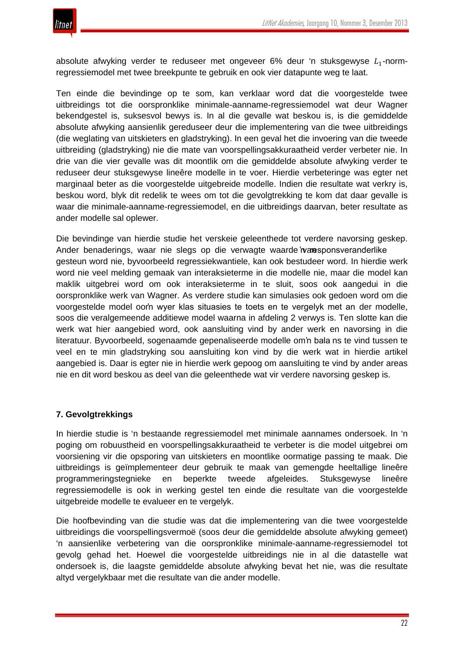absolute afwyking verder te reduseer met ongeveer 6% deur 'n stuksgewyse  $L_1$ -normregressiemodel met twee breekpunte te gebruik en ook vier datapunte weg te laat.

Ten einde die bevindinge op te som, kan verklaar word dat die voorgestelde twee uitbreidings tot die oorspronklike minimale-aanname-regressiemodel wat deur Wagner bekendgestel is, suksesvol bewys is. In al die gevalle wat beskou is, is die gemiddelde absolute afwyking aansienlik gereduseer deur die implementering van die twee uitbreidings (die weglating van uitskieters en gladstryking). In een geval het die invoering van die tweede uitbreiding (gladstryking) nie die mate van voorspellingsakkuraatheid verder verbeter nie. In drie van die vier gevalle was dit moontlik om die gemiddelde absolute afwyking verder te reduseer deur stuksgewyse lineêre modelle in te voer. Hierdie verbeteringe was egter net marginaal beter as die voorgestelde uitgebreide modelle. Indien die resultate wat verkry is, beskou word, blyk dit redelik te wees om tot die gevolgtrekking te kom dat daar gevalle is waar die minimale-aanname-regressiemodel, en die uitbreidings daarvan, beter resultate as ander modelle sal oplewer.

Die bevindinge van hierdie studie het verskeie geleenthede tot verdere navorsing geskep. Ander benaderings, waar nie slegs op die verwagte waarde 'n an sponsveranderlike gesteun word nie, byvoorbeeld regressiekwantiele, kan ook bestudeer word. In hierdie werk word nie veel melding gemaak van interaksieterme in die modelle nie, maar die model kan maklik uitgebrei word om ook interaksieterme in te sluit, soos ook aangedui in die oorspronklike werk van Wagner. As verdere studie kan simulasies ook gedoen word om die voorgestelde model oor'n wyer klas situasies te toets en te vergelyk met an der modelle, soos die veralgemeende additiewe model waarna in afdeling 2 verwys is. Ten slotte kan die werk wat hier aangebied word, ook aansluiting vind by ander werk en navorsing in die literatuur. Byvoorbeeld, sogenaamde gepenaliseerde modelle om 'n bala ns te vind tussen te veel en te min gladstryking sou aansluiting kon vind by die werk wat in hierdie artikel aangebied is. Daar is egter nie in hierdie werk gepoog om aansluiting te vind by ander areas nie en dit word beskou as deel van die geleenthede wat vir verdere navorsing geskep is.

# **7. Gevolgtrekkings**

In hierdie studie is 'n bestaande regressiemodel met minimale aannames ondersoek. In 'n poging om robuustheid en voorspellingsakkuraatheid te verbeter is die model uitgebrei om voorsiening vir die opsporing van uitskieters en moontlike oormatige passing te maak. Die uitbreidings is geïmplementeer deur gebruik te maak van gemengde heeltallige lineêre programmeringstegnieke en beperkte tweede afgeleides. Stuksgewyse lineêre regressiemodelle is ook in werking gestel ten einde die resultate van die voorgestelde uitgebreide modelle te evalueer en te vergelyk.

Die hoofbevinding van die studie was dat die implementering van die twee voorgestelde uitbreidings die voorspellingsvermoë (soos deur die gemiddelde absolute afwyking gemeet) 'n aansienlike verbetering van die oorspronklike minimale-aanname-regressiemodel tot gevolg gehad het. Hoewel die voorgestelde uitbreidings nie in al die datastelle wat ondersoek is, die laagste gemiddelde absolute afwyking bevat het nie, was die resultate altyd vergelykbaar met die resultate van die ander modelle.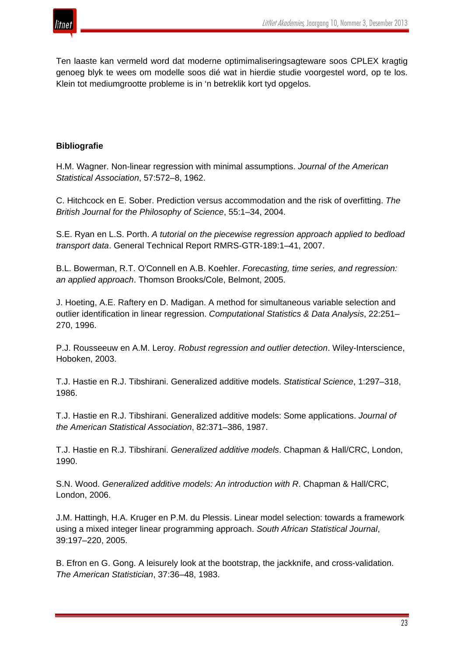

Ten laaste kan vermeld word dat moderne optimimaliseringsagteware soos CPLEX kragtig genoeg blyk te wees om modelle soos dié wat in hierdie studie voorgestel word, op te los. Klein tot mediumgrootte probleme is in 'n betreklik kort tyd opgelos.

## **Bibliografie**

H.M. Wagner. Non-linear regression with minimal assumptions. *Journal of the American Statistical Association*, 57:572–8, 1962.

C. Hitchcock en E. Sober. Prediction versus accommodation and the risk of overfitting. *The British Journal for the Philosophy of Science*, 55:1–34, 2004.

S.E. Ryan en L.S. Porth. *A tutorial on the piecewise regression approach applied to bedload transport data*. General Technical Report RMRS-GTR-189:1–41, 2007.

B.L. Bowerman, R.T. O'Connell en A.B. Koehler. *Forecasting, time series, and regression: an applied approach*. Thomson Brooks/Cole, Belmont, 2005.

J. Hoeting, A.E. Raftery en D. Madigan. A method for simultaneous variable selection and outlier identification in linear regression. *Computational Statistics & Data Analysis*, 22:251– 270, 1996.

P.J. Rousseeuw en A.M. Leroy. *Robust regression and outlier detection*. Wiley-Interscience, Hoboken, 2003.

T.J. Hastie en R.J. Tibshirani. Generalized additive models. *Statistical Science*, 1:297–318, 1986.

T.J. Hastie en R.J. Tibshirani. Generalized additive models: Some applications. *Journal of the American Statistical Association*, 82:371–386, 1987.

T.J. Hastie en R.J. Tibshirani. *Generalized additive models*. Chapman & Hall/CRC, London, 1990.

S.N. Wood. *Generalized additive models: An introduction with R*. Chapman & Hall/CRC, London, 2006.

J.M. Hattingh, H.A. Kruger en P.M. du Plessis. Linear model selection: towards a framework using a mixed integer linear programming approach. *South African Statistical Journal*, 39:197–220, 2005.

B. Efron en G. Gong. A leisurely look at the bootstrap, the jackknife, and cross-validation. *The American Statistician*, 37:36–48, 1983.